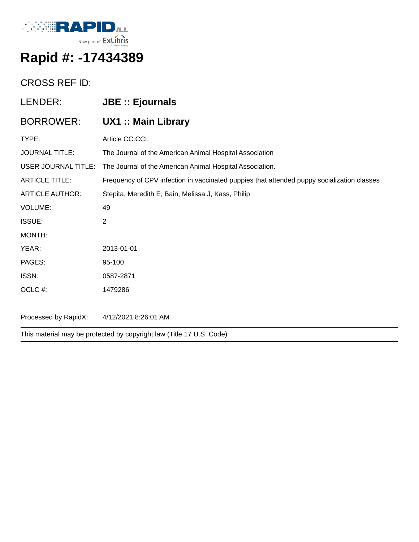

## **Rapid #: -17434389**

## CROSS REF ID:

| LENDER:                | <b>JBE :: Ejournals</b>                                                                    |
|------------------------|--------------------------------------------------------------------------------------------|
| <b>BORROWER:</b>       | <b>UX1 :: Main Library</b>                                                                 |
| TYPE:                  | Article CC:CCL                                                                             |
| <b>JOURNAL TITLE:</b>  | The Journal of the American Animal Hospital Association                                    |
| USER JOURNAL TITLE:    | The Journal of the American Animal Hospital Association.                                   |
| <b>ARTICLE TITLE:</b>  | Frequency of CPV infection in vaccinated puppies that attended puppy socialization classes |
| <b>ARTICLE AUTHOR:</b> | Stepita, Meredith E, Bain, Melissa J, Kass, Philip                                         |
| <b>VOLUME:</b>         | 49                                                                                         |
| ISSUE:                 | $\overline{2}$                                                                             |
| MONTH:                 |                                                                                            |
| YEAR:                  | 2013-01-01                                                                                 |
| PAGES:                 | 95-100                                                                                     |
| ISSN:                  | 0587-2871                                                                                  |
| OCLC #:                | 1479286                                                                                    |
|                        |                                                                                            |
| Processed by RapidX:   | 4/12/2021 8:26:01 AM                                                                       |

This material may be protected by copyright law (Title 17 U.S. Code)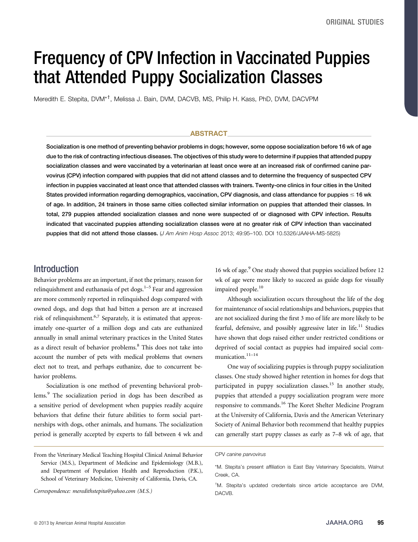# Frequency of CPV Infection in Vaccinated Puppies that Attended Puppy Socialization Classes

Meredith E. Stepita, DVM\*<sup>t</sup>, Melissa J. Bain, DVM, DACVB, MS, Philip H. Kass, PhD, DVM, DACVPM

#### ABSTRACT

Socialization is one method of preventing behavior problems in dogs; however, some oppose socialization before 16 wk of age due to the risk of contracting infectious diseases. The objectives of this study were to determine if puppies that attended puppy socialization classes and were vaccinated by a veterinarian at least once were at an increased risk of confirmed canine parvovirus (CPV) infection compared with puppies that did not attend classes and to determine the frequency of suspected CPV infection in puppies vaccinated at least once that attended classes with trainers. Twenty-one clinics in four cities in the United States provided information regarding demographics, vaccination, CPV diagnosis, and class attendance for puppies  $\leq 16$  wk of age. In addition, 24 trainers in those same cities collected similar information on puppies that attended their classes. In total, 279 puppies attended socialization classes and none were suspected of or diagnosed with CPV infection. Results indicated that vaccinated puppies attending socialization classes were at no greater risk of CPV infection than vaccinated puppies that did not attend those classes. (J Am Anim Hosp Assoc 2013; 49:95–100. DOI 10.5326/JAAHA-MS-5825)

#### Introduction

Behavior problems are an important, if not the primary, reason for relinquishment and euthanasia of pet dogs. $1-5$  Fear and aggression are more commonly reported in relinquished dogs compared with owned dogs, and dogs that had bitten a person are at increased risk of relinquishment.<sup>6,7</sup> Separately, it is estimated that approximately one-quarter of a million dogs and cats are euthanized annually in small animal veterinary practices in the United States as a direct result of behavior problems.8 This does not take into account the number of pets with medical problems that owners elect not to treat, and perhaps euthanize, due to concurrent behavior problems.

Socialization is one method of preventing behavioral problems.<sup>9</sup> The socialization period in dogs has been described as a sensitive period of development when puppies readily acquire behaviors that define their future abilities to form social partnerships with dogs, other animals, and humans. The socialization period is generally accepted by experts to fall between 4 wk and wk of age were more likely to succeed as guide dogs for visually impaired people.<sup>10</sup> Although socialization occurs throughout the life of the dog

16 wk of age.<sup>9</sup> One study showed that puppies socialized before 12

for maintenance of social relationships and behaviors, puppies that are not socialized during the first 3 mo of life are more likely to be fearful, defensive, and possibly aggressive later in life.<sup>11</sup> Studies have shown that dogs raised either under restricted conditions or deprived of social contact as puppies had impaired social communication.<sup>11–14</sup>

One way of socializing puppies is through puppy socialization classes. One study showed higher retention in homes for dogs that participated in puppy socialization classes.<sup>15</sup> In another study, puppies that attended a puppy socialization program were more responsive to commands.<sup>16</sup> The Koret Shelter Medicine Program at the University of California, Davis and the American Veterinary Society of Animal Behavior both recommend that healthy puppies can generally start puppy classes as early as 7–8 wk of age, that

Correspondence: [meredithstepita@yahoo.com](mailto:meredithstepita@yahoo.com) (M.S.)

From the Veterinary Medical Teaching Hospital Clinical Animal Behavior Service (M.S.), Department of Medicine and Epidemiology (M.B.), and Department of Population Health and Reproduction (P.K.), School of Veterinary Medicine, University of California, Davis, CA.

CPV canine parvovirus

<sup>\*</sup>M. Stepita's present affiliation is East Bay Veterinary Specialists, Walnut Creek, CA.

<sup>†</sup> M. Stepita's updated credentials since article acceptance are DVM, DACVB.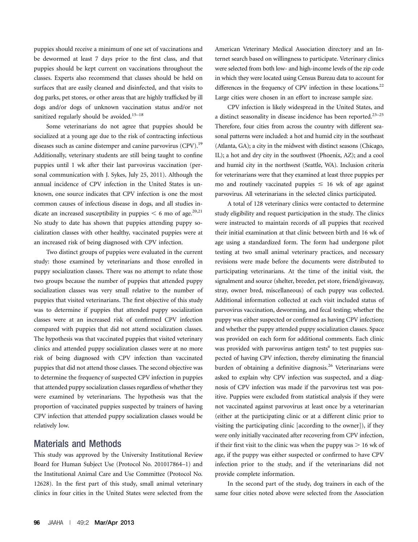puppies should receive a minimum of one set of vaccinations and be dewormed at least 7 days prior to the first class, and that puppies should be kept current on vaccinations throughout the classes. Experts also recommend that classes should be held on surfaces that are easily cleaned and disinfected, and that visits to dog parks, pet stores, or other areas that are highly trafficked by ill dogs and/or dogs of unknown vaccination status and/or not sanitized regularly should be avoided.<sup>15-18</sup>

Some veterinarians do not agree that puppies should be socialized at a young age due to the risk of contracting infectious diseases such as canine distemper and canine parvovirus (CPV).<sup>19</sup> Additionally, veterinary students are still being taught to confine puppies until 1 wk after their last parvovirus vaccination (personal communication with J. Sykes, July 25, 2011). Although the annual incidence of CPV infection in the United States is unknown, one source indicates that CPV infection is one the most common causes of infectious disease in dogs, and all studies indicate an increased susceptibility in puppies  $<$  6 mo of age.<sup>20,21</sup> No study to date has shown that puppies attending puppy socialization classes with other healthy, vaccinated puppies were at an increased risk of being diagnosed with CPV infection.

Two distinct groups of puppies were evaluated in the current study: those examined by veterinarians and those enrolled in puppy socialization classes. There was no attempt to relate those two groups because the number of puppies that attended puppy socialization classes was very small relative to the number of puppies that visited veterinarians. The first objective of this study was to determine if puppies that attended puppy socialization classes were at an increased risk of confirmed CPV infection compared with puppies that did not attend socialization classes. The hypothesis was that vaccinated puppies that visited veterinary clinics and attended puppy socialization classes were at no more risk of being diagnosed with CPV infection than vaccinated puppies that did not attend those classes. The second objective was to determine the frequency of suspected CPV infection in puppies that attended puppy socialization classes regardless of whether they were examined by veterinarians. The hypothesis was that the proportion of vaccinated puppies suspected by trainers of having CPV infection that attended puppy socialization classes would be relatively low.

#### Materials and Methods

This study was approved by the University Institutional Review Board for Human Subject Use (Protocol No. 201017864–1) and the Institutional Animal Care and Use Committee (Protocol No. 12628). In the first part of this study, small animal veterinary clinics in four cities in the United States were selected from the American Veterinary Medical Association directory and an Internet search based on willingness to participate. Veterinary clinics were selected from both low- and high-income levels of the zip code in which they were located using Census Bureau data to account for differences in the frequency of CPV infection in these locations. $^{22}$ Large cities were chosen in an effort to increase sample size.

CPV infection is likely widespread in the United States, and a distinct seasonality in disease incidence has been reported.<sup>23-25</sup> Therefore, four cities from across the country with different seasonal patterns were included: a hot and humid city in the southeast (Atlanta, GA); a city in the midwest with distinct seasons (Chicago, IL); a hot and dry city in the southwest (Phoenix, AZ); and a cool and humid city in the northwest (Seattle, WA). Inclusion criteria for veterinarians were that they examined at least three puppies per mo and routinely vaccinated puppies  $\leq$  16 wk of age against parvovirus. All veterinarians in the selected clinics participated.

A total of 128 veterinary clinics were contacted to determine study eligibility and request participation in the study. The clinics were instructed to maintain records of all puppies that received their initial examination at that clinic between birth and 16 wk of age using a standardized form. The form had undergone pilot testing at two small animal veterinary practices, and necessary revisions were made before the documents were distributed to participating veterinarians. At the time of the initial visit, the signalment and source (shelter, breeder, pet store, friend/giveaway, stray, owner bred, miscellaneous) of each puppy was collected. Additional information collected at each visit included status of parvovirus vaccination, deworming, and fecal testing; whether the puppy was either suspected or confirmed as having CPV infection; and whether the puppy attended puppy socialization classes. Space was provided on each form for additional comments. Each clinic was provided with parvovirus antigen tests<sup>a</sup> to test puppies suspected of having CPV infection, thereby eliminating the financial burden of obtaining a definitive diagnosis.<sup>26</sup> Veterinarians were asked to explain why CPV infection was suspected, and a diagnosis of CPV infection was made if the parvovirus test was positive. Puppies were excluded from statistical analysis if they were not vaccinated against parvovirus at least once by a veterinarian (either at the participating clinic or at a different clinic prior to visiting the participating clinic [according to the owner]), if they were only initially vaccinated after recovering from CPV infection, if their first visit to the clinic was when the puppy was  $> 16$  wk of age, if the puppy was either suspected or confirmed to have CPV infection prior to the study, and if the veterinarians did not provide complete information.

In the second part of the study, dog trainers in each of the same four cities noted above were selected from the Association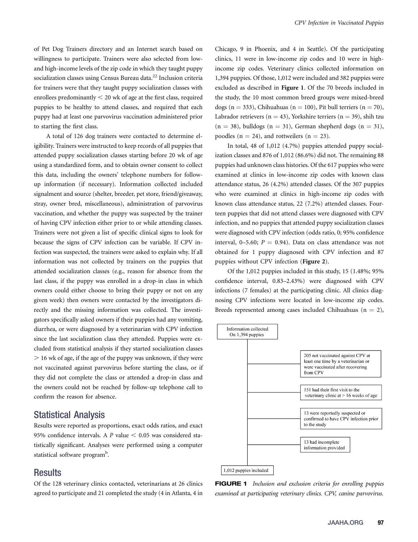of Pet Dog Trainers directory and an Internet search based on willingness to participate. Trainers were also selected from lowand high-income levels of the zip code in which they taught puppy socialization classes using Census Bureau data.<sup>22</sup> Inclusion criteria for trainers were that they taught puppy socialization classes with enrollees predominantly  $<$  20 wk of age at the first class, required puppies to be healthy to attend classes, and required that each puppy had at least one parvovirus vaccination administered prior to starting the first class.

A total of 126 dog trainers were contacted to determine eligibility. Trainers were instructed to keep records of all puppies that attended puppy socialization classes starting before 20 wk of age using a standardized form, and to obtain owner consent to collect this data, including the owners' telephone numbers for followup information (if necessary). Information collected included signalment and source (shelter, breeder, pet store, friend/giveaway, stray, owner bred, miscellaneous), administration of parvovirus vaccination, and whether the puppy was suspected by the trainer of having CPV infection either prior to or while attending classes. Trainers were not given a list of specific clinical signs to look for because the signs of CPV infection can be variable. If CPV infection was suspected, the trainers were asked to explain why. If all information was not collected by trainers on the puppies that attended socialization classes (e.g., reason for absence from the last class, if the puppy was enrolled in a drop-in class in which owners could either choose to bring their puppy or not on any given week) then owners were contacted by the investigators directly and the missing information was collected. The investigators specifically asked owners if their puppies had any vomiting, diarrhea, or were diagnosed by a veterinarian with CPV infection since the last socialization class they attended. Puppies were excluded from statistical analysis if they started socialization classes . 16 wk of age, if the age of the puppy was unknown, if they were not vaccinated against parvovirus before starting the class, or if they did not complete the class or attended a drop-in class and the owners could not be reached by follow-up telephone call to confirm the reason for absence.

### Statistical Analysis

Results were reported as proportions, exact odds ratios, and exact 95% confidence intervals. A P value  $< 0.05$  was considered statistically significant. Analyses were performed using a computer statistical software program<sup>b</sup>.

## **Results**

Of the 128 veterinary clinics contacted, veterinarians at 26 clinics agreed to participate and 21 completed the study (4 in Atlanta, 4 in Chicago, 9 in Phoenix, and 4 in Seattle). Of the participating clinics, 11 were in low-income zip codes and 10 were in highincome zip codes. Veterinary clinics collected information on 1,394 puppies. Of those, 1,012 were included and 382 puppies were excluded as described in Figure 1. Of the 70 breeds included in the study, the 10 most common breed groups were mixed-breed dogs (n = 333), Chihuahuas (n = 100), Pit bull terriers (n = 70), Labrador retrievers ( $n = 43$ ), Yorkshire terriers ( $n = 39$ ), shih tzu  $(n = 38)$ , bulldogs  $(n = 31)$ , German shepherd dogs  $(n = 31)$ , poodles ( $n = 24$ ), and rottweilers ( $n = 23$ ).

In total, 48 of 1,012 (4.7%) puppies attended puppy socialization classes and 876 of 1,012 (86.6%) did not. The remaining 88 puppies had unknown class histories. Of the 617 puppies who were examined at clinics in low-income zip codes with known class attendance status, 26 (4.2%) attended classes. Of the 307 puppies who were examined at clinics in high-income zip codes with known class attendance status, 22 (7.2%) attended classes. Fourteen puppies that did not attend classes were diagnosed with CPV infection, and no puppies that attended puppy socialization classes were diagnosed with CPV infection (odds ratio, 0; 95% confidence interval, 0–5.60;  $P = 0.94$ ). Data on class attendance was not obtained for 1 puppy diagnosed with CPV infection and 87 puppies without CPV infection (Figure 2).

Of the 1,012 puppies included in this study, 15 (1.48%; 95% confidence interval, 0.83–2.43%) were diagnosed with CPV infections (7 females) at the participating clinic. All clinics diagnosing CPV infections were located in low-income zip codes. Breeds represented among cases included Chihuahuas ( $n = 2$ ),



**FIGURE 1** Inclusion and exclusion criteria for enrolling puppies examined at participating veterinary clinics. CPV, canine parvovirus.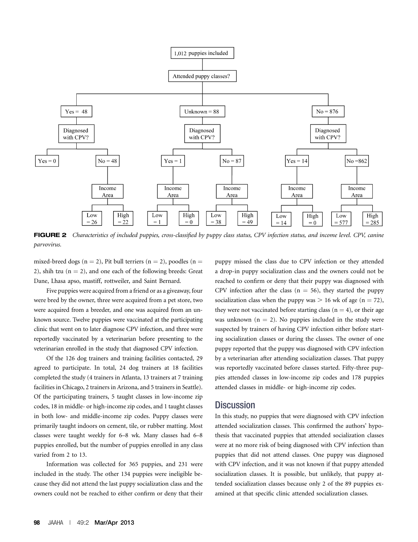

FIGURE 2 Characteristics of included puppies, cross-classified by puppy class status, CPV infection status, and income level. CPV, canine parvovirus.

mixed-breed dogs (n = 2), Pit bull terriers (n = 2), poodles (n = 2), shih tzu  $(n = 2)$ , and one each of the following breeds: Great Dane, Lhasa apso, mastiff, rottweiler, and Saint Bernard.

Five puppies were acquired from a friend or as a giveaway, four were bred by the owner, three were acquired from a pet store, two were acquired from a breeder, and one was acquired from an unknown source. Twelve puppies were vaccinated at the participating clinic that went on to later diagnose CPV infection, and three were reportedly vaccinated by a veterinarian before presenting to the veterinarian enrolled in the study that diagnosed CPV infection.

Of the 126 dog trainers and training facilities contacted, 29 agreed to participate. In total, 24 dog trainers at 18 facilities completed the study (4 trainers in Atlanta, 13 trainers at 7 training facilities in Chicago, 2 trainers in Arizona, and 5 trainers in Seattle). Of the participating trainers, 5 taught classes in low-income zip codes, 18 in middle- or high-income zip codes, and 1 taught classes in both low- and middle-income zip codes. Puppy classes were primarily taught indoors on cement, tile, or rubber matting. Most classes were taught weekly for 6–8 wk. Many classes had 6–8 puppies enrolled, but the number of puppies enrolled in any class varied from 2 to 13.

Information was collected for 365 puppies, and 231 were included in the study. The other 134 puppies were ineligible because they did not attend the last puppy socialization class and the owners could not be reached to either confirm or deny that their puppy missed the class due to CPV infection or they attended a drop-in puppy socialization class and the owners could not be reached to confirm or deny that their puppy was diagnosed with CPV infection after the class ( $n = 56$ ), they started the puppy socialization class when the puppy was  $> 16$  wk of age (n = 72), they were not vaccinated before starting class  $(n = 4)$ , or their age was unknown ( $n = 2$ ). No puppies included in the study were suspected by trainers of having CPV infection either before starting socialization classes or during the classes. The owner of one puppy reported that the puppy was diagnosed with CPV infection by a veterinarian after attending socialization classes. That puppy was reportedly vaccinated before classes started. Fifty-three puppies attended classes in low-income zip codes and 178 puppies attended classes in middle- or high-income zip codes.

#### **Discussion**

In this study, no puppies that were diagnosed with CPV infection attended socialization classes. This confirmed the authors' hypothesis that vaccinated puppies that attended socialization classes were at no more risk of being diagnosed with CPV infection than puppies that did not attend classes. One puppy was diagnosed with CPV infection, and it was not known if that puppy attended socialization classes. It is possible, but unlikely, that puppy attended socialization classes because only 2 of the 89 puppies examined at that specific clinic attended socialization classes.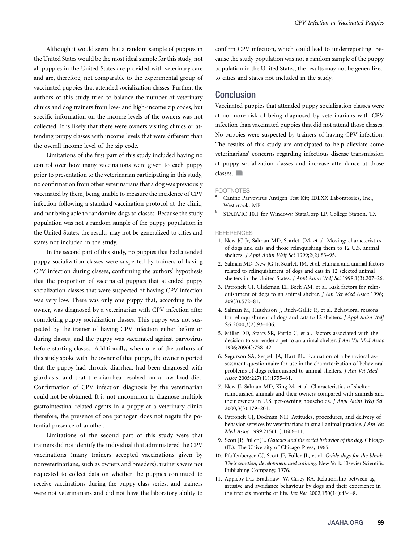Although it would seem that a random sample of puppies in the United States would be the most ideal sample for this study, not all puppies in the United States are provided with veterinary care and are, therefore, not comparable to the experimental group of vaccinated puppies that attended socialization classes. Further, the authors of this study tried to balance the number of veterinary clinics and dog trainers from low- and high-income zip codes, but specific information on the income levels of the owners was not collected. It is likely that there were owners visiting clinics or attending puppy classes with income levels that were different than the overall income level of the zip code.

Limitations of the first part of this study included having no control over how many vaccinations were given to each puppy prior to presentation to the veterinarian participating in this study, no confirmation from other veterinarians that a dog was previously vaccinated by them, being unable to measure the incidence of CPV infection following a standard vaccination protocol at the clinic, and not being able to randomize dogs to classes. Because the study population was not a random sample of the puppy population in the United States, the results may not be generalized to cities and states not included in the study.

In the second part of this study, no puppies that had attended puppy socialization classes were suspected by trainers of having CPV infection during classes, confirming the authors' hypothesis that the proportion of vaccinated puppies that attended puppy socialization classes that were suspected of having CPV infection was very low. There was only one puppy that, according to the owner, was diagnosed by a veterinarian with CPV infection after completing puppy socialization classes. This puppy was not suspected by the trainer of having CPV infection either before or during classes, and the puppy was vaccinated against parvovirus before starting classes. Additionally, when one of the authors of this study spoke with the owner of that puppy, the owner reported that the puppy had chronic diarrhea, had been diagnosed with giardiasis, and that the diarrhea resolved on a raw food diet. Confirmation of CPV infection diagnosis by the veterinarian could not be obtained. It is not uncommon to diagnose multiple gastrointestinal-related agents in a puppy at a veterinary clinic; therefore, the presence of one pathogen does not negate the potential presence of another.

Limitations of the second part of this study were that trainers did not identify the individual that administered the CPV vaccinations (many trainers accepted vaccinations given by nonveterinarians, such as owners and breeders), trainers were not requested to collect data on whether the puppies continued to receive vaccinations during the puppy class series, and trainers were not veterinarians and did not have the laboratory ability to

confirm CPV infection, which could lead to underreporting. Because the study population was not a random sample of the puppy population in the United States, the results may not be generalized to cities and states not included in the study.

### Conclusion

Vaccinated puppies that attended puppy socialization classes were at no more risk of being diagnosed by veterinarians with CPV infection than vaccinated puppies that did not attend those classes. No puppies were suspected by trainers of having CPV infection. The results of this study are anticipated to help alleviate some veterinarians' concerns regarding infectious disease transmission at puppy socialization classes and increase attendance at those classes.

#### FOOTNOTES

- Canine Parvovirus Antigen Test Kit; IDEXX Laboratories, Inc., Westbrook, ME
- <sup>b</sup> STATA/IC 10.1 for Windows; StataCorp LP, College Station, TX

#### **REFERENCES**

- 1. New JC Jr, Salman MD, Scarlett JM, et al. Moving: characteristics of dogs and cats and those relinquishing them to 12 U.S. animal shelters. J Appl Anim Welf Sci 1999;2(2):83–95.
- 2. Salman MD, New JG Jr, Scarlett JM, et al. Human and animal factors related to relinquishment of dogs and cats in 12 selected animal shelters in the United States. J Appl Anim Welf Sci 1998;1(3):207–26.
- 3. Patronek GJ, Glickman LT, Beck AM, et al. Risk factors for relinquishment of dogs to an animal shelter. J Am Vet Med Assoc 1996; 209(3):572–81.
- 4. Salman M, Hutchison J, Ruch-Gallie R, et al. Behavioral reasons for relinquishment of dogs and cats to 12 shelters. J Appl Anim Welf Sci 2000;3(2):93–106.
- 5. Miller DD, Staats SR, Partlo C, et al. Factors associated with the decision to surrender a pet to an animal shelter. J Am Vet Med Assoc 1996;209(4):738–42.
- 6. Segurson SA, Serpell JA, Hart BL. Evaluation of a behavioral assessment questionnaire for use in the characterization of behavioral problems of dogs relinquished to animal shelters. J Am Vet Med Assoc 2005;227(11):1755–61.
- 7. New JJ, Salman MD, King M, et al. Characteristics of shelterrelinquished animals and their owners compared with animals and their owners in U.S. pet-owning households. J Appl Anim Welf Sci 2000;3(3):179–201.
- 8. Patronek GJ, Dodman NH. Attitudes, procedures, and delivery of behavior services by veterinarians in small animal practice. J Am Vet Med Assoc 1999;215(11):1606–11.
- 9. Scott JP, Fuller JL. Genetics and the social behavior of the dog. Chicago (IL): The University of Chicago Press; 1965.
- 10. Pfaffenberger CJ, Scott JP, Fuller JL, et al. Guide dogs for the blind: Their selection, development and training. New York: Elsevier Scientific Publishing Company; 1976.
- 11. Appleby DL, Bradshaw JW, Casey RA. Relationship between aggressive and avoidance behaviour by dogs and their experience in the first six months of life. Vet Rec 2002;150(14):434–8.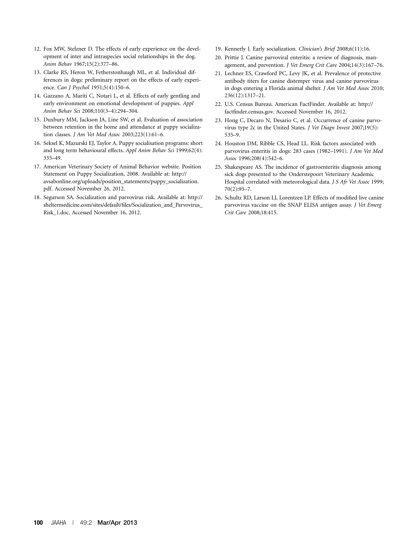- 12. Fox MW, Stelzner D. The effects of early experience on the development of inter and intraspecies social relationships in the dog. Anim Behav 1967;15(2):377–86.
- 13. Clarke RS, Heron W, Fetherstonhaugh ML, et al. Individual differences in dogs: preliminary report on the effects of early experience. Can J Psychol 1951;5(4):150–6.
- 14. Gazzano A, Mariti C, Notari L, et al. Effects of early gentling and early environment on emotional development of puppies. Appl Anim Behav Sci 2008;110(3–4):294–304.
- 15. Duxbury MM, Jackson JA, Line SW, et al. Evaluation of association between retention in the home and attendance at puppy socialization classes. J Am Vet Med Assoc 2003;223(1):61–6.
- 16. Seksel K, Mazurski EJ, Taylor A. Puppy socialisation programs: short and long term behavioural effects. Appl Anim Behav Sci 1999;62(4): 335–49.
- 17. American Veterinary Society of Animal Behavior website. Position Statement on Puppy Socialization, 2008. Available at: [http://](http://avsabonline.org/uploads/position_statements/puppy_socialization.pdf) [avsabonline.org/uploads/position\\_statements/puppy\\_socialization.](http://avsabonline.org/uploads/position_statements/puppy_socialization.pdf) [pdf](http://avsabonline.org/uploads/position_statements/puppy_socialization.pdf). Accessed November 26, 2012.
- 18. Segurson SA. Socialization and parvovirus risk. Available at: [http://](http://sheltermedicine.com/sites/default/files/Socialization_and_Parvovirus_Risk_1.doc) [sheltermedicine.com/sites/default/](http://sheltermedicine.com/sites/default/files/Socialization_and_Parvovirus_Risk_1.doc)files/Socialization\_and\_Parvovirus\_ [Risk\\_1.doc](http://sheltermedicine.com/sites/default/files/Socialization_and_Parvovirus_Risk_1.doc). Accessed November 16, 2012.
- 19. Kennerly J. Early socialization. Clinician's Brief 2008;6(11):16.
- 20. Prittie J. Canine parvoviral enteritis: a review of diagnosis, management, and prevention. J Vet Emerg Crit Care 2004;14(3):167–76.
- 21. Lechner ES, Crawford PC, Levy JK, et al. Prevalence of protective antibody titers for canine distemper virus and canine parvovirus in dogs entering a Florida animal shelter. J Am Vet Med Assoc 2010; 236(12):1317–21.
- 22. U.S. Census Bureau. American FactFinder. Available at: [http://](http://factfinder.census.gov) factfi[nder.census.gov.](http://factfinder.census.gov) Accessed November 16, 2012.
- 23. Hong C, Decaro N, Desario C, et al. Occurrence of canine parvovirus type 2c in the United States. J Vet Diagn Invest 2007;19(5): 535–9.
- 24. Houston DM, Ribble CS, Head LL. Risk factors associated with parvovirus enteritis in dogs: 283 cases (1982–1991). J Am Vet Med Assoc 1996;208(4):542–6.
- 25. Shakespeare AS. The incidence of gastroenteritis diagnosis among sick dogs presented to the Onderstepoort Veterinary Academic Hospital correlated with meteorological data. J S Afr Vet Assoc 1999; 70(2):95–7.
- 26. Schultz RD, Larson LJ, Lorentzen LP. Effects of modified live canine parvovirus vaccine on the SNAP ELISA antigen assay. J Vet Emerg Crit Care 2008;18:415.